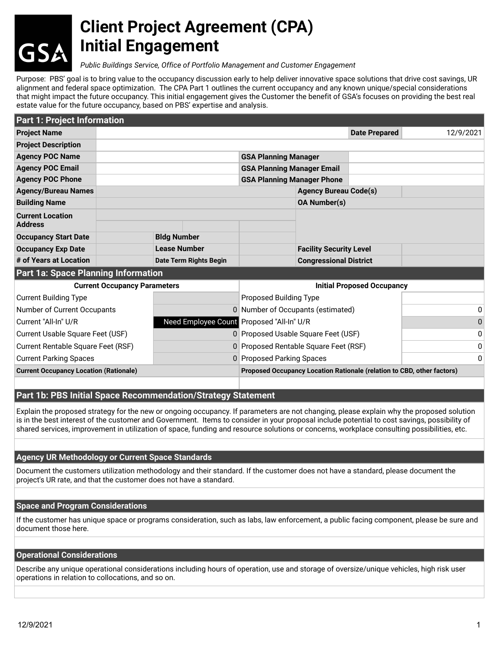# **Client Project Agreement (CPA) Initial Engagement**

*Public Buildings Service, Office of Portfolio Management and Customer Engagement*

Purpose: PBS' goal is to bring value to the occupancy discussion early to help deliver innovative space solutions that drive cost savings, UR alignment and federal space optimization. The CPA Part 1 outlines the current occupancy and any known unique/special considerations that might impact the future occupancy. This initial engagement gives the Customer the benefit of GSA's focuses on providing the best real estate value for the future occupancy, based on PBS' expertise and analysis.

| <b>Part 1: Project Information</b>                                |  |                        |                                                                        |                                |                      |                |
|-------------------------------------------------------------------|--|------------------------|------------------------------------------------------------------------|--------------------------------|----------------------|----------------|
| <b>Project Name</b>                                               |  |                        |                                                                        |                                | <b>Date Prepared</b> | 12/9/2021      |
| <b>Project Description</b>                                        |  |                        |                                                                        |                                |                      |                |
| <b>Agency POC Name</b>                                            |  |                        | <b>GSA Planning Manager</b>                                            |                                |                      |                |
| <b>Agency POC Email</b>                                           |  |                        | <b>GSA Planning Manager Email</b>                                      |                                |                      |                |
| <b>Agency POC Phone</b>                                           |  |                        | <b>GSA Planning Manager Phone</b>                                      |                                |                      |                |
| <b>Agency/Bureau Names</b>                                        |  |                        |                                                                        | <b>Agency Bureau Code(s)</b>   |                      |                |
| <b>Building Name</b>                                              |  |                        |                                                                        | <b>OA Number(s)</b>            |                      |                |
| <b>Current Location</b><br><b>Address</b>                         |  |                        |                                                                        |                                |                      |                |
| <b>Occupancy Start Date</b>                                       |  | <b>Bldg Number</b>     |                                                                        |                                |                      |                |
| <b>Occupancy Exp Date</b>                                         |  | <b>Lease Number</b>    |                                                                        | <b>Facility Security Level</b> |                      |                |
| # of Years at Location                                            |  | Date Term Rights Begin |                                                                        | <b>Congressional District</b>  |                      |                |
| <b>Part 1a: Space Planning Information</b>                        |  |                        |                                                                        |                                |                      |                |
| <b>Current Occupancy Parameters</b>                               |  |                        | <b>Initial Proposed Occupancy</b>                                      |                                |                      |                |
| <b>Current Building Type</b>                                      |  |                        | Proposed Building Type                                                 |                                |                      |                |
| Number of Current Occupants                                       |  |                        | 0 Number of Occupants (estimated)                                      |                                |                      | 0              |
| Need Employee Count Proposed "All-In" U/R<br>Current "All-In" U/R |  |                        |                                                                        |                                | 0                    |                |
| Current Usable Square Feet (USF)                                  |  |                        | 0 Proposed Usable Square Feet (USF)                                    |                                |                      | $\overline{0}$ |
| Current Rentable Square Feet (RSF)                                |  |                        | 0 Proposed Rentable Square Feet (RSF)                                  |                                |                      | $\overline{0}$ |
| <b>Current Parking Spaces</b>                                     |  |                        | 0 Proposed Parking Spaces                                              |                                |                      | $\overline{0}$ |
| <b>Current Occupancy Location (Rationale)</b>                     |  |                        | Proposed Occupancy Location Rationale (relation to CBD, other factors) |                                |                      |                |

## **Part 1b: PBS Initial Space Recommendation/Strategy Statement**

Explain the proposed strategy for the new or ongoing occupancy. If parameters are not changing, please explain why the proposed solution is in the best interest of the customer and Government. Items to consider in your proposal include potential to cost savings, possibility of shared services, improvement in utilization of space, funding and resource solutions or concerns, workplace consulting possibilities, etc.

### **Agency UR Methodology or Current Space Standards**

Document the customers utilization methodology and their standard. If the customer does not have a standard, please document the project's UR rate, and that the customer does not have a standard.

### **Space and Program Considerations**

If the customer has unique space or programs consideration, such as labs, law enforcement, a public facing component, please be sure and document those here.

#### **Operational Considerations**

Describe any unique operational considerations including hours of operation, use and storage of oversize/unique vehicles, high risk user operations in relation to collocations, and so on.